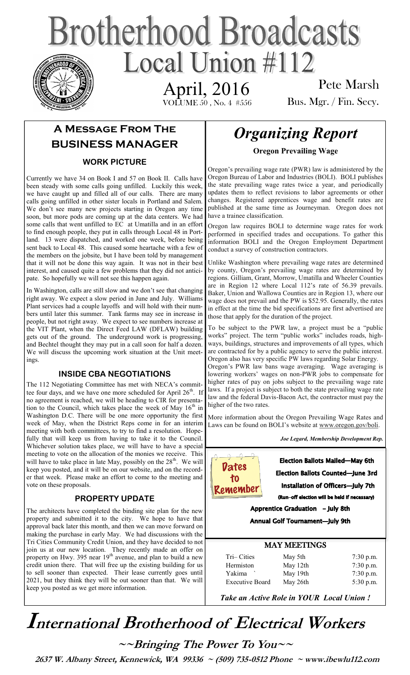# **Brotherhood Broadcasts** Local Union  $\#112$

April, 2016

VOLUME 50 , No. 4 #556

Pete Marsh Bus. Mgr. / Fin. Secy.

## **A Message From The BUSINESS MANAGER**

### **WORK PICTURE**

Currently we have 34 on Book I and 57 on Book II. Calls have been steady with some calls going unfilled. Luckily this week, we have caught up and filled all of our calls. There are many calls going unfilled in other sister locals in Portland and Salem. We don't see many new projects starting in Oregon any time soon, but more pods are coming up at the data centers. We had some calls that went unfilled to EC at Umatilla and in an effort to find enough people, they put in calls through Local 48 in Portland. 13 were dispatched, and worked one week, before being sent back to Local 48. This caused some heartache with a few of the members on the jobsite, but I have been told by management that it will not be done this way again. It was not in their best interest, and caused quite a few problems that they did not anticipate. So hopefully we will not see this happen again.

In Washington, calls are still slow and we don't see that changing right away. We expect a slow period in June and July. Williams Plant services had a couple layoffs and will hold with their numbers until later this summer. Tank farms may see in increase in people, but not right away. We expect to see numbers increase at the VIT Plant, when the Direct Feed LAW (DFLAW) building gets out of the ground. The underground work is progressing, and Bechtel thought they may put in a call soon for half a dozen. We will discuss the upcoming work situation at the Unit meetings.

### **INSIDE CBA NEGOTIATIONS**

The 112 Negotiating Committee has met with NECA's committee four days, and we have one more scheduled for April  $26<sup>th</sup>$ . If no agreement is reached, we will be heading to CIR for presentation to the Council, which takes place the week of May  $16<sup>th</sup>$  in Washington D.C. There will be one more opportunity the first week of May, when the District Reps come in for an interim meeting with both committees, to try to find a resolution. Hopefully that will keep us from having to take it to the Council. Whichever solution takes place, we will have to have a special meeting to vote on the allocation of the monies we receive. This will have to take place in late May, possibly on the  $28<sup>th</sup>$ . We will keep you posted, and it will be on our website, and on the recorder that week. Please make an effort to come to the meeting and vote on these proposals.

### **PROPERTY UPDATE**

The architects have completed the binding site plan for the new property and submitted it to the city. We hope to have that approval back later this month, and then we can move forward on making the purchase in early May. We had discussions with the Tri Cities Community Credit Union, and they have decided to not join us at our new location. They recently made an offer on property on Hwy. 395 near 19<sup>th</sup> avenue, and plan to build a new credit union there. That will free up the existing building for us to sell sooner than expected. Their lease currently goes until 2021, but they think they will be out sooner than that. We will keep you posted as we get more information.

# *Organizing Report*

**Oregon Prevailing Wage**

Oregon's prevailing wage rate (PWR) law is administered by the Oregon Bureau of Labor and Industries (BOLI). BOLI publishes the state prevailing wage rates twice a year, and periodically updates them to reflect revisions to labor agreements or other changes. Registered apprentices wage and benefit rates are published at the same time as Journeyman. Oregon does not have a trainee classification.

Oregon law requires BOLI to determine wage rates for work performed in specified trades and occupations. To gather this information BOLI and the Oregon Employment Department conduct a survey of construction contractors.

Unlike Washington where prevailing wage rates are determined by county, Oregon's prevailing wage rates are determined by regions. Gilliam, Grant, Morrow, Umatilla and Wheeler Counties are in Region 12 where Local 112's rate of 56.39 prevails. Baker, Union and Wallowa Counties are in Region 13, where our wage does not prevail and the PW is \$52.95. Generally, the rates in effect at the time the bid specifications are first advertised are those that apply for the duration of the project.

To be subject to the PWR law, a project must be a "public works" project. The term "public works" includes roads, highways, buildings, structures and improvements of all types, which are contracted for by a public agency to serve the public interest. Oregon also has very specific PW laws regarding Solar Energy. Oregon's PWR law bans wage averaging. Wage averaging is lowering workers' wages on non-PWR jobs to compensate for higher rates of pay on jobs subject to the prevailing wage rate laws. If a project is subject to both the state prevailing wage rate law and the federal Davis-Bacon Act, the contractor must pay the higher of the two rates.

More information about the Oregon Prevailing Wage Rates and Laws can be found on BOLI's website at [www.oregon.gov/boli.](http://www.oregon.gov/boli)

*Joe Legard, Membership Development Rep.* 



**Election Ballots Mailed-May 6th Election Ballots Counted-June 3rd** Installation of Officers-July 7th (Run-off election will be held if necessary)

Apprentice Graduation - July 8th

Annual Golf Tournament-July 9th

### MAY MEETINGS

| Tri-Cities             | May 5th  | $7:30$ p.m. |
|------------------------|----------|-------------|
| Hermiston              | May 12th | $7:30$ p.m. |
| Yakima                 | May 19th | $7:30$ p.m. |
| <b>Executive Board</b> | May 26th | $5:30$ p.m. |

*Take an Active Role in YOUR Local Union !* 

# **International Brotherhood of <sup>E</sup>lectrical Workers**

**~~Bringing The Power To You~~** 

 **2637 W. Albany Street, Kennewick, WA 99336 ~ (509) 735-0512 Phone ~ www.ibewlu112.com**